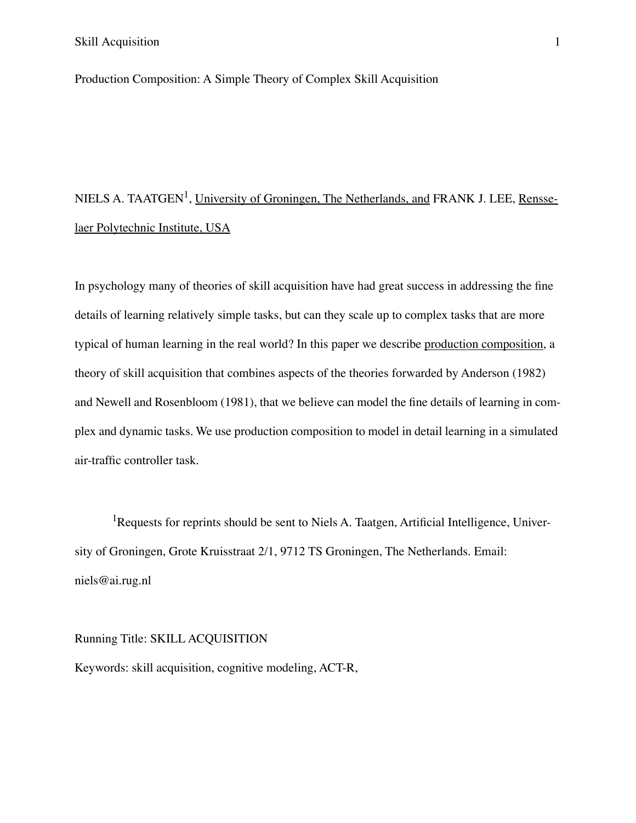Production Composition: A Simple Theory of Complex Skill Acquisition

# NIELS A. TAATGEN<sup>1</sup>, University of Groningen, The Netherlands, and FRANK J. LEE, Rensselaer Polytechnic Institute, USA

In psychology many of theories of skill acquisition have had great success in addressing the fine details of learning relatively simple tasks, but can they scale up to complex tasks that are more typical of human learning in the real world? In this paper we describe production composition, a theory of skill acquisition that combines aspects of the theories forwarded by Anderson (1982) and Newell and Rosenbloom (1981), that we believe can model the fine details of learning in complex and dynamic tasks. We use production composition to model in detail learning in a simulated air-traffic controller task.

<sup>1</sup>Requests for reprints should be sent to Niels A. Taatgen, Artificial Intelligence, University of Groningen, Grote Kruisstraat 2/1, 9712 TS Groningen, The Netherlands. Email: niels@ai.rug.nl

#### Running Title: SKILL ACQUISITION

Keywords: skill acquisition, cognitive modeling, ACT-R,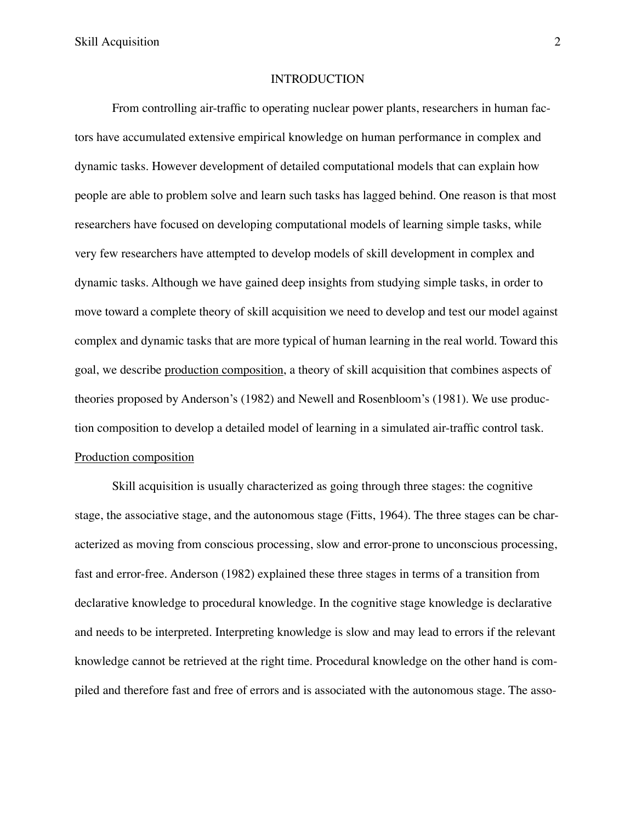#### INTRODUCTION

From controlling air-traffic to operating nuclear power plants, researchers in human factors have accumulated extensive empirical knowledge on human performance in complex and dynamic tasks. However development of detailed computational models that can explain how people are able to problem solve and learn such tasks has lagged behind. One reason is that most researchers have focused on developing computational models of learning simple tasks, while very few researchers have attempted to develop models of skill development in complex and dynamic tasks. Although we have gained deep insights from studying simple tasks, in order to move toward a complete theory of skill acquisition we need to develop and test our model against complex and dynamic tasks that are more typical of human learning in the real world. Toward this goal, we describe production composition, a theory of skill acquisition that combines aspects of theories proposed by Anderson's (1982) and Newell and Rosenbloom's (1981). We use production composition to develop a detailed model of learning in a simulated air-traffic control task. Production composition

Skill acquisition is usually characterized as going through three stages: the cognitive stage, the associative stage, and the autonomous stage (Fitts, 1964). The three stages can be characterized as moving from conscious processing, slow and error-prone to unconscious processing, fast and error-free. Anderson (1982) explained these three stages in terms of a transition from declarative knowledge to procedural knowledge. In the cognitive stage knowledge is declarative and needs to be interpreted. Interpreting knowledge is slow and may lead to errors if the relevant knowledge cannot be retrieved at the right time. Procedural knowledge on the other hand is compiled and therefore fast and free of errors and is associated with the autonomous stage. The asso-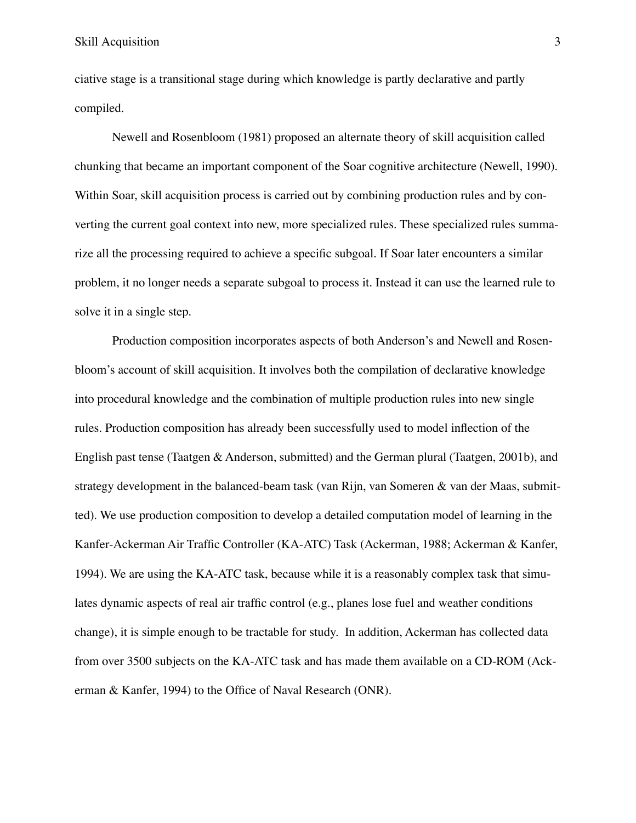ciative stage is a transitional stage during which knowledge is partly declarative and partly compiled.

Newell and Rosenbloom (1981) proposed an alternate theory of skill acquisition called chunking that became an important component of the Soar cognitive architecture (Newell, 1990). Within Soar, skill acquisition process is carried out by combining production rules and by converting the current goal context into new, more specialized rules. These specialized rules summarize all the processing required to achieve a specific subgoal. If Soar later encounters a similar problem, it no longer needs a separate subgoal to process it. Instead it can use the learned rule to solve it in a single step.

Production composition incorporates aspects of both Anderson's and Newell and Rosenbloom's account of skill acquisition. It involves both the compilation of declarative knowledge into procedural knowledge and the combination of multiple production rules into new single rules. Production composition has already been successfully used to model inflection of the English past tense (Taatgen & Anderson, submitted) and the German plural (Taatgen, 2001b), and strategy development in the balanced-beam task (van Rijn, van Someren & van der Maas, submitted). We use production composition to develop a detailed computation model of learning in the Kanfer-Ackerman Air Traffic Controller (KA-ATC) Task (Ackerman, 1988; Ackerman & Kanfer, 1994). We are using the KA-ATC task, because while it is a reasonably complex task that simulates dynamic aspects of real air traffic control (e.g., planes lose fuel and weather conditions change), it is simple enough to be tractable for study. In addition, Ackerman has collected data from over 3500 subjects on the KA-ATC task and has made them available on a CD-ROM (Ackerman & Kanfer, 1994) to the Office of Naval Research (ONR).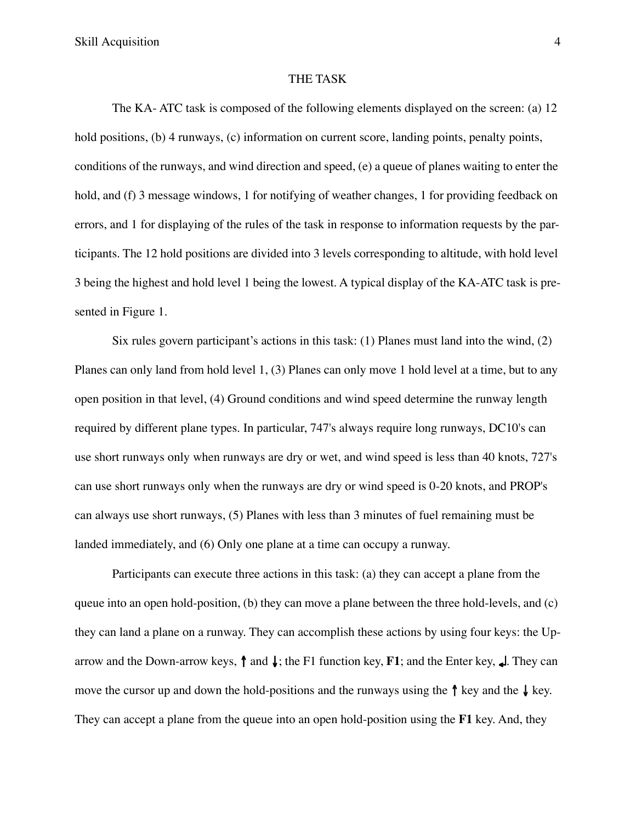Skill Acquisition 4

#### THE TASK

The KA- ATC task is composed of the following elements displayed on the screen: (a) 12 hold positions, (b) 4 runways, (c) information on current score, landing points, penalty points, conditions of the runways, and wind direction and speed, (e) a queue of planes waiting to enter the hold, and (f) 3 message windows, 1 for notifying of weather changes, 1 for providing feedback on errors, and 1 for displaying of the rules of the task in response to information requests by the participants. The 12 hold positions are divided into 3 levels corresponding to altitude, with hold level 3 being the highest and hold level 1 being the lowest. A typical display of the KA-ATC task is presented in Figure 1.

Six rules govern participant's actions in this task: (1) Planes must land into the wind, (2) Planes can only land from hold level 1, (3) Planes can only move 1 hold level at a time, but to any open position in that level, (4) Ground conditions and wind speed determine the runway length required by different plane types. In particular, 747's always require long runways, DC10's can use short runways only when runways are dry or wet, and wind speed is less than 40 knots, 727's can use short runways only when the runways are dry or wind speed is 0-20 knots, and PROP's can always use short runways, (5) Planes with less than 3 minutes of fuel remaining must be landed immediately, and (6) Only one plane at a time can occupy a runway.

Participants can execute three actions in this task: (a) they can accept a plane from the queue into an open hold-position, (b) they can move a plane between the three hold-levels, and (c) they can land a plane on a runway. They can accomplish these actions by using four keys: the Uparrow and the Down-arrow keys, ↑ and ↓; the F1 function key, **F1**; and the Enter key, ↵. They can move the cursor up and down the hold-positions and the runways using the  $\uparrow$  key and the  $\downarrow$  key. They can accept a plane from the queue into an open hold-position using the **F1** key. And, they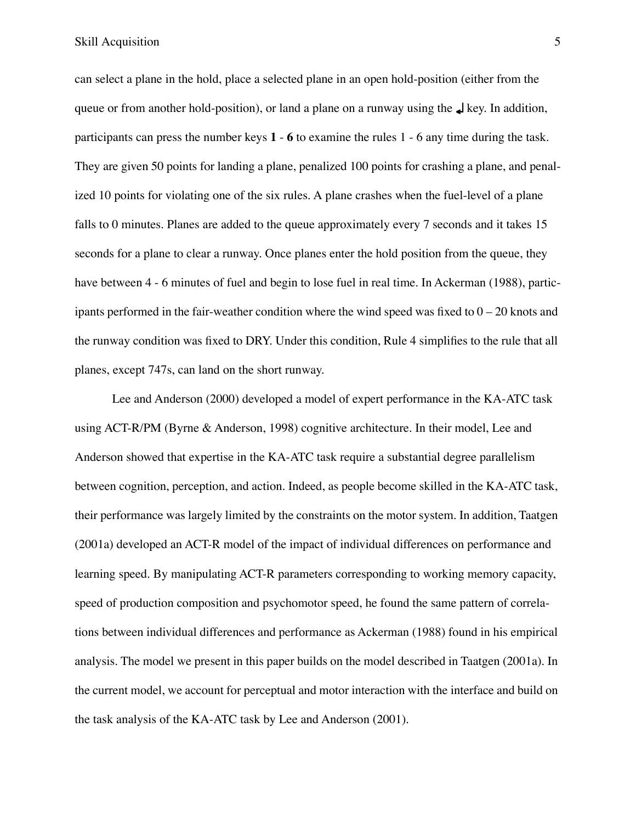can select a plane in the hold, place a selected plane in an open hold-position (either from the queue or from another hold-position), or land a plane on a runway using the ↵ key. In addition, participants can press the number keys **1** - **6** to examine the rules 1 - 6 any time during the task. They are given 50 points for landing a plane, penalized 100 points for crashing a plane, and penalized 10 points for violating one of the six rules. A plane crashes when the fuel-level of a plane falls to 0 minutes. Planes are added to the queue approximately every 7 seconds and it takes 15 seconds for a plane to clear a runway. Once planes enter the hold position from the queue, they have between 4 - 6 minutes of fuel and begin to lose fuel in real time. In Ackerman (1988), participants performed in the fair-weather condition where the wind speed was fixed to  $0 - 20$  knots and the runway condition was fixed to DRY. Under this condition, Rule 4 simplifies to the rule that all planes, except 747s, can land on the short runway.

Lee and Anderson (2000) developed a model of expert performance in the KA-ATC task using ACT-R/PM (Byrne & Anderson, 1998) cognitive architecture. In their model, Lee and Anderson showed that expertise in the KA-ATC task require a substantial degree parallelism between cognition, perception, and action. Indeed, as people become skilled in the KA-ATC task, their performance was largely limited by the constraints on the motor system. In addition, Taatgen (2001a) developed an ACT-R model of the impact of individual differences on performance and learning speed. By manipulating ACT-R parameters corresponding to working memory capacity, speed of production composition and psychomotor speed, he found the same pattern of correlations between individual differences and performance as Ackerman (1988) found in his empirical analysis. The model we present in this paper builds on the model described in Taatgen (2001a). In the current model, we account for perceptual and motor interaction with the interface and build on the task analysis of the KA-ATC task by Lee and Anderson (2001).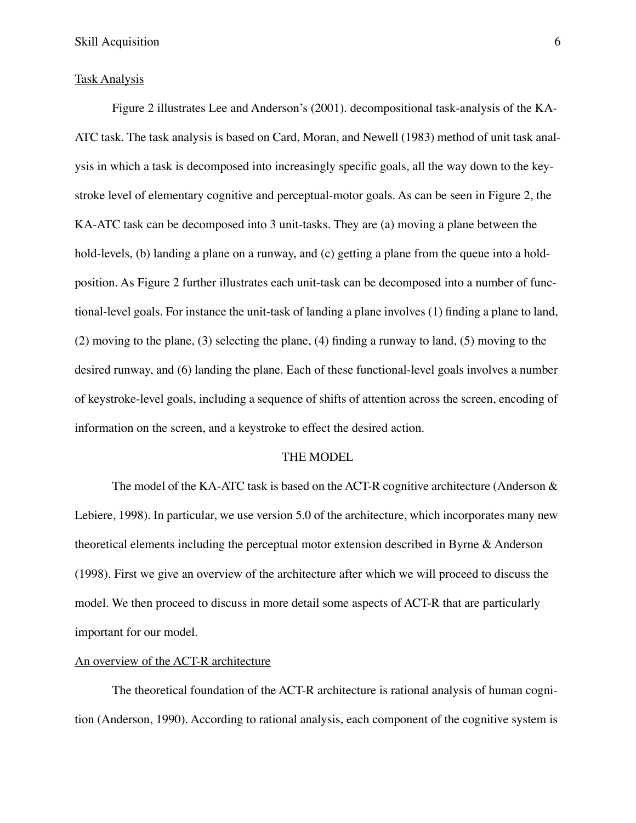#### Task Analysis

Figure 2 illustrates Lee and Anderson's (2001). decompositional task-analysis of the KA-ATC task. The task analysis is based on Card, Moran, and Newell (1983) method of unit task analysis in which a task is decomposed into increasingly specific goals, all the way down to the keystroke level of elementary cognitive and perceptual-motor goals. As can be seen in Figure 2, the KA-ATC task can be decomposed into 3 unit-tasks. They are (a) moving a plane between the hold-levels, (b) landing a plane on a runway, and (c) getting a plane from the queue into a holdposition. As Figure 2 further illustrates each unit-task can be decomposed into a number of functional-level goals. For instance the unit-task of landing a plane involves (1) finding a plane to land, (2) moving to the plane, (3) selecting the plane, (4) finding a runway to land, (5) moving to the desired runway, and (6) landing the plane. Each of these functional-level goals involves a number of keystroke-level goals, including a sequence of shifts of attention across the screen, encoding of information on the screen, and a keystroke to effect the desired action.

#### THE MODEL

The model of the KA-ATC task is based on the ACT-R cognitive architecture (Anderson  $\&$ Lebiere, 1998). In particular, we use version 5.0 of the architecture, which incorporates many new theoretical elements including the perceptual motor extension described in Byrne & Anderson (1998). First we give an overview of the architecture after which we will proceed to discuss the model. We then proceed to discuss in more detail some aspects of ACT-R that are particularly important for our model.

#### An overview of the ACT-R architecture

The theoretical foundation of the ACT-R architecture is rational analysis of human cognition (Anderson, 1990). According to rational analysis, each component of the cognitive system is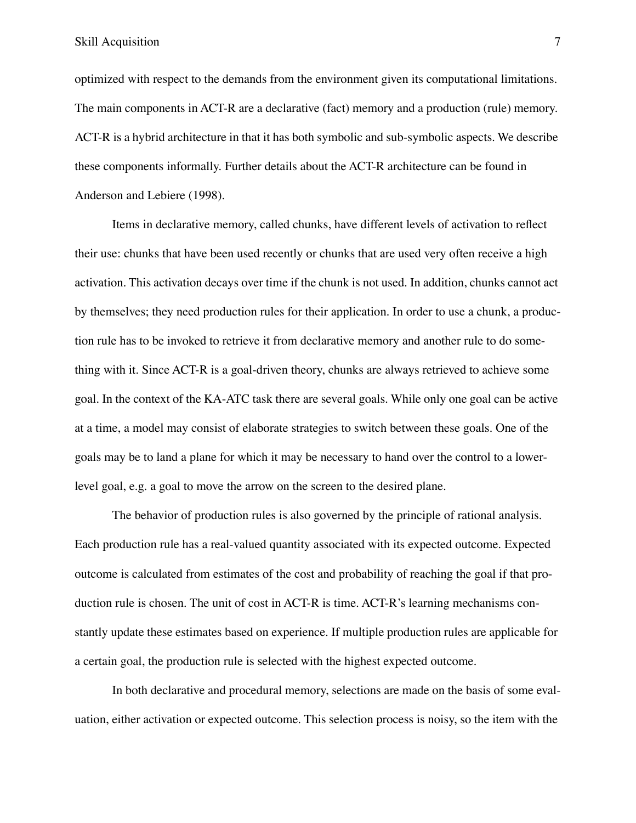optimized with respect to the demands from the environment given its computational limitations. The main components in ACT-R are a declarative (fact) memory and a production (rule) memory. ACT-R is a hybrid architecture in that it has both symbolic and sub-symbolic aspects. We describe these components informally. Further details about the ACT-R architecture can be found in Anderson and Lebiere (1998).

Items in declarative memory, called chunks, have different levels of activation to reflect their use: chunks that have been used recently or chunks that are used very often receive a high activation. This activation decays over time if the chunk is not used. In addition, chunks cannot act by themselves; they need production rules for their application. In order to use a chunk, a production rule has to be invoked to retrieve it from declarative memory and another rule to do something with it. Since ACT-R is a goal-driven theory, chunks are always retrieved to achieve some goal. In the context of the KA-ATC task there are several goals. While only one goal can be active at a time, a model may consist of elaborate strategies to switch between these goals. One of the goals may be to land a plane for which it may be necessary to hand over the control to a lowerlevel goal, e.g. a goal to move the arrow on the screen to the desired plane.

The behavior of production rules is also governed by the principle of rational analysis. Each production rule has a real-valued quantity associated with its expected outcome. Expected outcome is calculated from estimates of the cost and probability of reaching the goal if that production rule is chosen. The unit of cost in ACT-R is time. ACT-R's learning mechanisms constantly update these estimates based on experience. If multiple production rules are applicable for a certain goal, the production rule is selected with the highest expected outcome.

In both declarative and procedural memory, selections are made on the basis of some evaluation, either activation or expected outcome. This selection process is noisy, so the item with the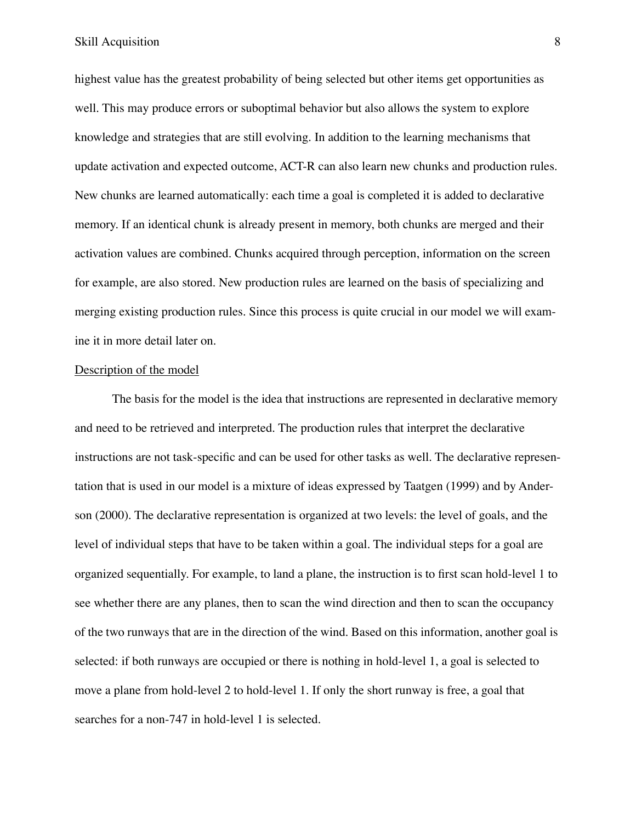Skill Acquisition 8

highest value has the greatest probability of being selected but other items get opportunities as well. This may produce errors or suboptimal behavior but also allows the system to explore knowledge and strategies that are still evolving. In addition to the learning mechanisms that update activation and expected outcome, ACT-R can also learn new chunks and production rules. New chunks are learned automatically: each time a goal is completed it is added to declarative memory. If an identical chunk is already present in memory, both chunks are merged and their activation values are combined. Chunks acquired through perception, information on the screen for example, are also stored. New production rules are learned on the basis of specializing and merging existing production rules. Since this process is quite crucial in our model we will examine it in more detail later on.

#### Description of the model

The basis for the model is the idea that instructions are represented in declarative memory and need to be retrieved and interpreted. The production rules that interpret the declarative instructions are not task-specific and can be used for other tasks as well. The declarative representation that is used in our model is a mixture of ideas expressed by Taatgen (1999) and by Anderson (2000). The declarative representation is organized at two levels: the level of goals, and the level of individual steps that have to be taken within a goal. The individual steps for a goal are organized sequentially. For example, to land a plane, the instruction is to first scan hold-level 1 to see whether there are any planes, then to scan the wind direction and then to scan the occupancy of the two runways that are in the direction of the wind. Based on this information, another goal is selected: if both runways are occupied or there is nothing in hold-level 1, a goal is selected to move a plane from hold-level 2 to hold-level 1. If only the short runway is free, a goal that searches for a non-747 in hold-level 1 is selected.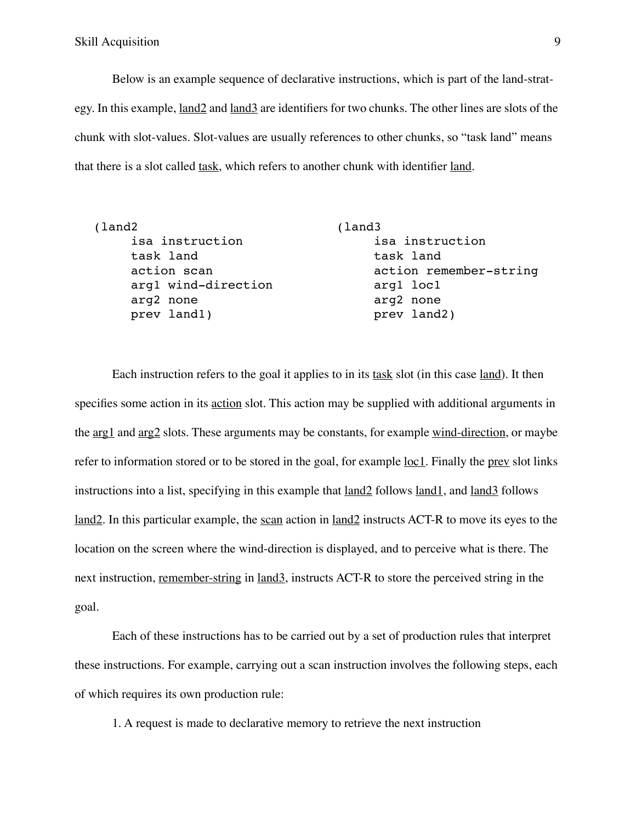Skill Acquisition 9

Below is an example sequence of declarative instructions, which is part of the land-strategy. In this example, land2 and land3 are identifiers for two chunks. The other lines are slots of the chunk with slot-values. Slot-values are usually references to other chunks, so "task land" means that there is a slot called task, which refers to another chunk with identifier land.

| (land2)             | (land3)                |
|---------------------|------------------------|
| isa instruction     | isa instruction        |
| task land           | task land              |
| action scan         | action remember-string |
| arg1 wind-direction | arg1 loc1              |
| arg2 none           | arg2 none              |
| prev land1)         | prev land2)            |

Each instruction refers to the goal it applies to in its task slot (in this case land). It then specifies some action in its action slot. This action may be supplied with additional arguments in the <u>arg1</u> and arg2 slots. These arguments may be constants, for example wind-direction, or maybe refer to information stored or to be stored in the goal, for example <u>loc1</u>. Finally the prev slot links instructions into a list, specifying in this example that land2 follows land1, and land3 follows land2. In this particular example, the scan action in  $land2$  instructs ACT-R to move its eyes to the location on the screen where the wind-direction is displayed, and to perceive what is there. The next instruction, remember-string in land3, instructs ACT-R to store the perceived string in the goal.

Each of these instructions has to be carried out by a set of production rules that interpret these instructions. For example, carrying out a scan instruction involves the following steps, each of which requires its own production rule:

1. A request is made to declarative memory to retrieve the next instruction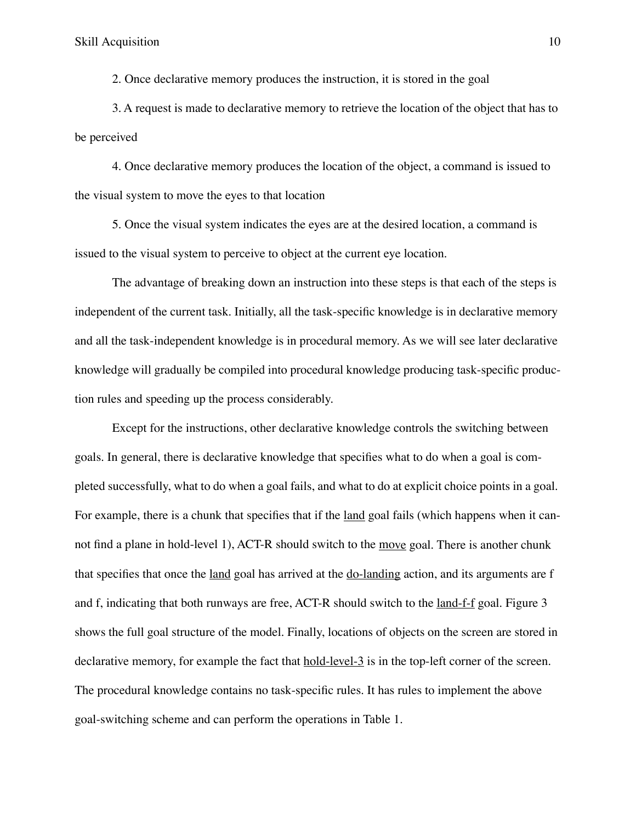2. Once declarative memory produces the instruction, it is stored in the goal

3. A request is made to declarative memory to retrieve the location of the object that has to be perceived

4. Once declarative memory produces the location of the object, a command is issued to the visual system to move the eyes to that location

5. Once the visual system indicates the eyes are at the desired location, a command is issued to the visual system to perceive to object at the current eye location.

The advantage of breaking down an instruction into these steps is that each of the steps is independent of the current task. Initially, all the task-specific knowledge is in declarative memory and all the task-independent knowledge is in procedural memory. As we will see later declarative knowledge will gradually be compiled into procedural knowledge producing task-specific production rules and speeding up the process considerably.

Except for the instructions, other declarative knowledge controls the switching between goals. In general, there is declarative knowledge that specifies what to do when a goal is completed successfully, what to do when a goal fails, and what to do at explicit choice points in a goal. For example, there is a chunk that specifies that if the land goal fails (which happens when it cannot find a plane in hold-level 1), ACT-R should switch to the move goal. There is another chunk that specifies that once the land goal has arrived at the do-landing action, and its arguments are f and f, indicating that both runways are free, ACT-R should switch to the land-f-f goal. Figure 3 shows the full goal structure of the model. Finally, locations of objects on the screen are stored in declarative memory, for example the fact that <u>hold-level-3</u> is in the top-left corner of the screen. The procedural knowledge contains no task-specific rules. It has rules to implement the above goal-switching scheme and can perform the operations in Table 1.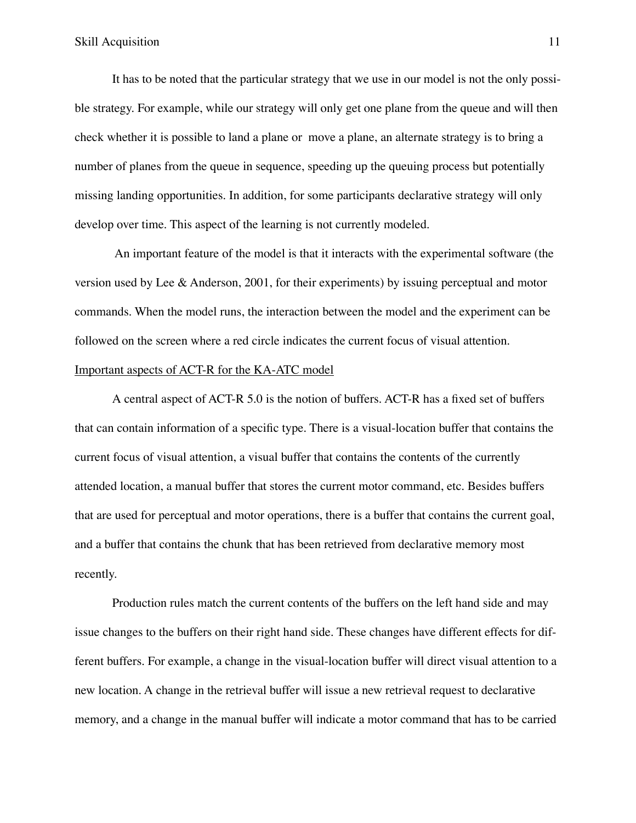It has to be noted that the particular strategy that we use in our model is not the only possible strategy. For example, while our strategy will only get one plane from the queue and will then check whether it is possible to land a plane or move a plane, an alternate strategy is to bring a number of planes from the queue in sequence, speeding up the queuing process but potentially missing landing opportunities. In addition, for some participants declarative strategy will only develop over time. This aspect of the learning is not currently modeled.

An important feature of the model is that it interacts with the experimental software (the version used by Lee & Anderson, 2001, for their experiments) by issuing perceptual and motor commands. When the model runs, the interaction between the model and the experiment can be followed on the screen where a red circle indicates the current focus of visual attention.

#### Important aspects of ACT-R for the KA-ATC model

A central aspect of ACT-R 5.0 is the notion of buffers. ACT-R has a fixed set of buffers that can contain information of a specific type. There is a visual-location buffer that contains the current focus of visual attention, a visual buffer that contains the contents of the currently attended location, a manual buffer that stores the current motor command, etc. Besides buffers that are used for perceptual and motor operations, there is a buffer that contains the current goal, and a buffer that contains the chunk that has been retrieved from declarative memory most recently.

Production rules match the current contents of the buffers on the left hand side and may issue changes to the buffers on their right hand side. These changes have different effects for different buffers. For example, a change in the visual-location buffer will direct visual attention to a new location. A change in the retrieval buffer will issue a new retrieval request to declarative memory, and a change in the manual buffer will indicate a motor command that has to be carried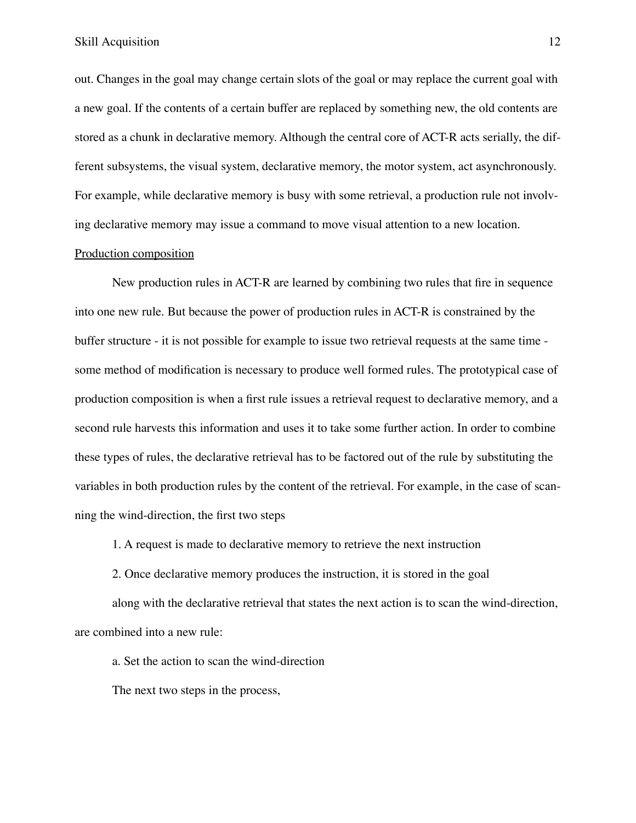out. Changes in the goal may change certain slots of the goal or may replace the current goal with a new goal. If the contents of a certain buffer are replaced by something new, the old contents are stored as a chunk in declarative memory. Although the central core of ACT-R acts serially, the different subsystems, the visual system, declarative memory, the motor system, act asynchronously. For example, while declarative memory is busy with some retrieval, a production rule not involving declarative memory may issue a command to move visual attention to a new location.

#### Production composition

New production rules in ACT-R are learned by combining two rules that fire in sequence into one new rule. But because the power of production rules in ACT-R is constrained by the buffer structure - it is not possible for example to issue two retrieval requests at the same time some method of modification is necessary to produce well formed rules. The prototypical case of production composition is when a first rule issues a retrieval request to declarative memory, and a second rule harvests this information and uses it to take some further action. In order to combine these types of rules, the declarative retrieval has to be factored out of the rule by substituting the variables in both production rules by the content of the retrieval. For example, in the case of scanning the wind-direction, the first two steps

1. A request is made to declarative memory to retrieve the next instruction

2. Once declarative memory produces the instruction, it is stored in the goal

along with the declarative retrieval that states the next action is to scan the wind-direction, are combined into a new rule:

a. Set the action to scan the wind-direction

The next two steps in the process,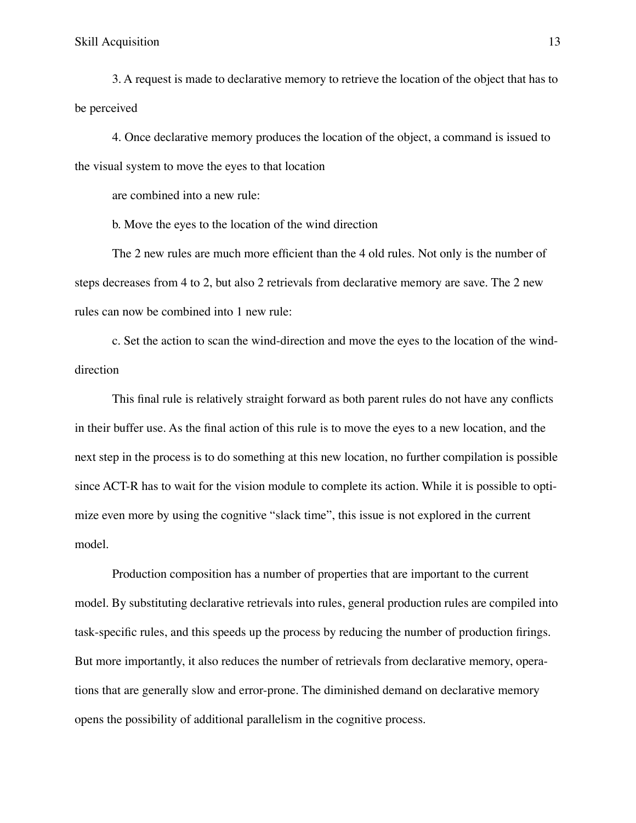3. A request is made to declarative memory to retrieve the location of the object that has to be perceived

4. Once declarative memory produces the location of the object, a command is issued to the visual system to move the eyes to that location

are combined into a new rule:

b. Move the eyes to the location of the wind direction

The 2 new rules are much more efficient than the 4 old rules. Not only is the number of steps decreases from 4 to 2, but also 2 retrievals from declarative memory are save. The 2 new rules can now be combined into 1 new rule:

c. Set the action to scan the wind-direction and move the eyes to the location of the winddirection

This final rule is relatively straight forward as both parent rules do not have any conflicts in their buffer use. As the final action of this rule is to move the eyes to a new location, and the next step in the process is to do something at this new location, no further compilation is possible since ACT-R has to wait for the vision module to complete its action. While it is possible to optimize even more by using the cognitive "slack time", this issue is not explored in the current model.

Production composition has a number of properties that are important to the current model. By substituting declarative retrievals into rules, general production rules are compiled into task-specific rules, and this speeds up the process by reducing the number of production firings. But more importantly, it also reduces the number of retrievals from declarative memory, operations that are generally slow and error-prone. The diminished demand on declarative memory opens the possibility of additional parallelism in the cognitive process.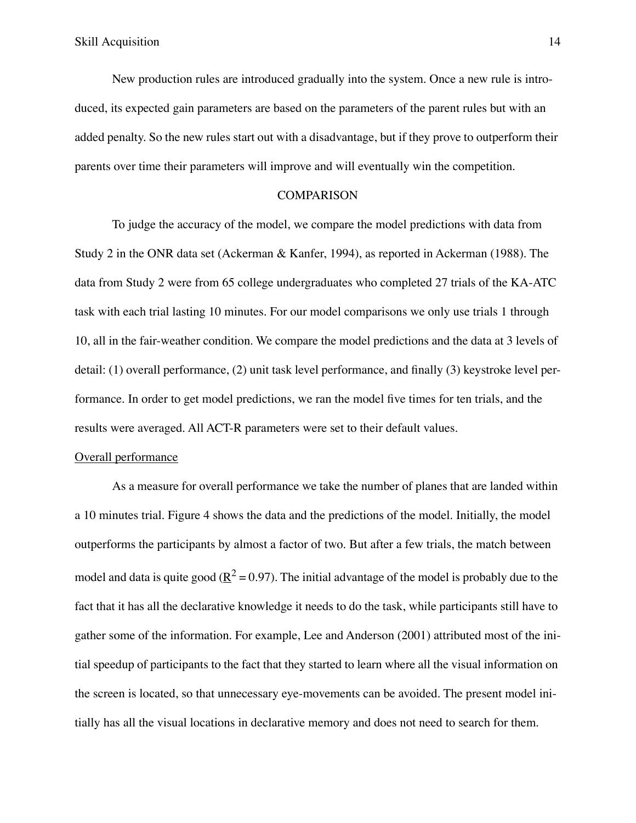New production rules are introduced gradually into the system. Once a new rule is introduced, its expected gain parameters are based on the parameters of the parent rules but with an added penalty. So the new rules start out with a disadvantage, but if they prove to outperform their parents over time their parameters will improve and will eventually win the competition.

#### **COMPARISON**

To judge the accuracy of the model, we compare the model predictions with data from Study 2 in the ONR data set (Ackerman & Kanfer, 1994), as reported in Ackerman (1988). The data from Study 2 were from 65 college undergraduates who completed 27 trials of the KA-ATC task with each trial lasting 10 minutes. For our model comparisons we only use trials 1 through 10, all in the fair-weather condition. We compare the model predictions and the data at 3 levels of detail: (1) overall performance, (2) unit task level performance, and finally (3) keystroke level performance. In order to get model predictions, we ran the model five times for ten trials, and the results were averaged. All ACT-R parameters were set to their default values.

#### Overall performance

As a measure for overall performance we take the number of planes that are landed within a 10 minutes trial. Figure 4 shows the data and the predictions of the model. Initially, the model outperforms the participants by almost a factor of two. But after a few trials, the match between model and data is quite good ( $\mathbb{R}^2 = 0.97$ ). The initial advantage of the model is probably due to the fact that it has all the declarative knowledge it needs to do the task, while participants still have to gather some of the information. For example, Lee and Anderson (2001) attributed most of the initial speedup of participants to the fact that they started to learn where all the visual information on the screen is located, so that unnecessary eye-movements can be avoided. The present model initially has all the visual locations in declarative memory and does not need to search for them.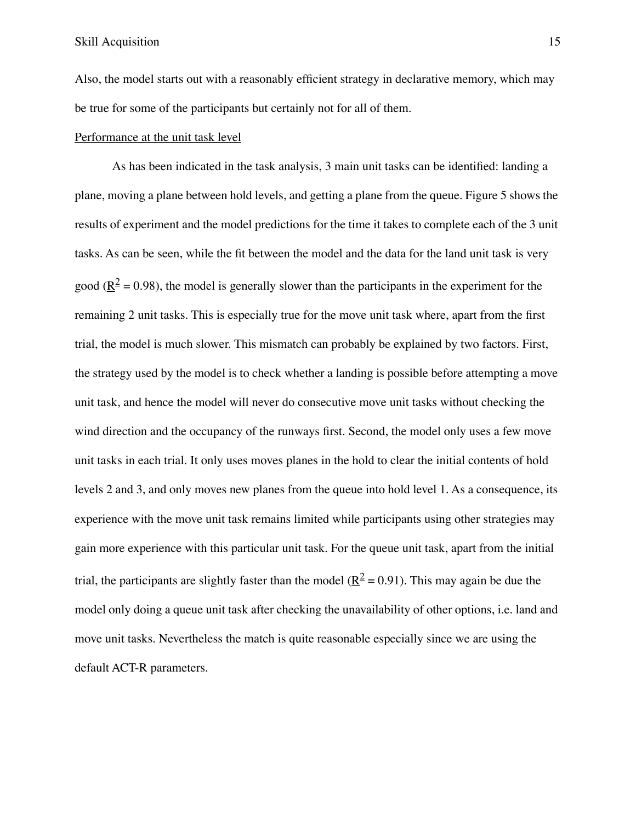Also, the model starts out with a reasonably efficient strategy in declarative memory, which may be true for some of the participants but certainly not for all of them.

#### Performance at the unit task level

As has been indicated in the task analysis, 3 main unit tasks can be identified: landing a plane, moving a plane between hold levels, and getting a plane from the queue. Figure 5 shows the results of experiment and the model predictions for the time it takes to complete each of the 3 unit tasks. As can be seen, while the fit between the model and the data for the land unit task is very good ( $\underline{R}^2 = 0.98$ ), the model is generally slower than the participants in the experiment for the remaining 2 unit tasks. This is especially true for the move unit task where, apart from the first trial, the model is much slower. This mismatch can probably be explained by two factors. First, the strategy used by the model is to check whether a landing is possible before attempting a move unit task, and hence the model will never do consecutive move unit tasks without checking the wind direction and the occupancy of the runways first. Second, the model only uses a few move unit tasks in each trial. It only uses moves planes in the hold to clear the initial contents of hold levels 2 and 3, and only moves new planes from the queue into hold level 1. As a consequence, its experience with the move unit task remains limited while participants using other strategies may gain more experience with this particular unit task. For the queue unit task, apart from the initial trial, the participants are slightly faster than the model ( $R^2 = 0.91$ ). This may again be due the model only doing a queue unit task after checking the unavailability of other options, i.e. land and move unit tasks. Nevertheless the match is quite reasonable especially since we are using the default ACT-R parameters.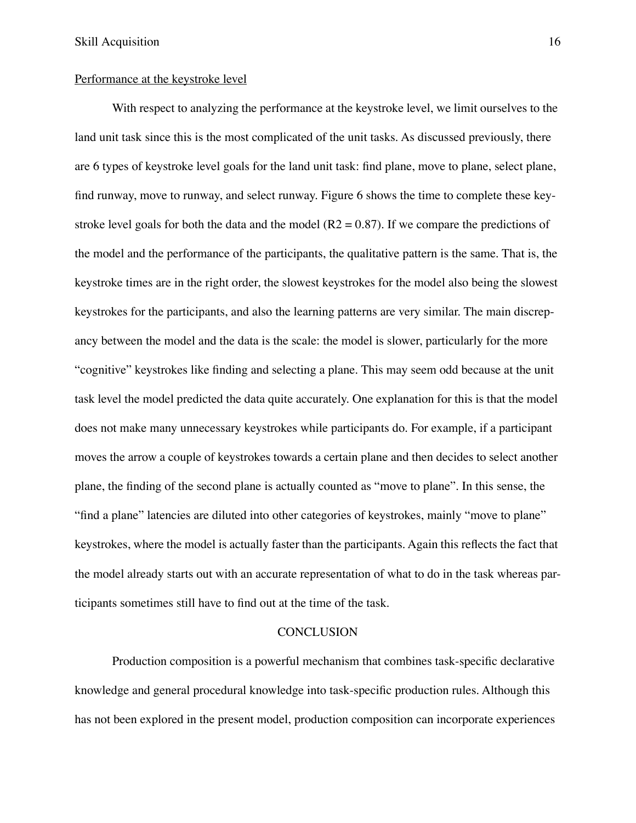#### Performance at the keystroke level

With respect to analyzing the performance at the keystroke level, we limit ourselves to the land unit task since this is the most complicated of the unit tasks. As discussed previously, there are 6 types of keystroke level goals for the land unit task: find plane, move to plane, select plane, find runway, move to runway, and select runway. Figure 6 shows the time to complete these keystroke level goals for both the data and the model ( $R2 = 0.87$ ). If we compare the predictions of the model and the performance of the participants, the qualitative pattern is the same. That is, the keystroke times are in the right order, the slowest keystrokes for the model also being the slowest keystrokes for the participants, and also the learning patterns are very similar. The main discrepancy between the model and the data is the scale: the model is slower, particularly for the more "cognitive" keystrokes like finding and selecting a plane. This may seem odd because at the unit task level the model predicted the data quite accurately. One explanation for this is that the model does not make many unnecessary keystrokes while participants do. For example, if a participant moves the arrow a couple of keystrokes towards a certain plane and then decides to select another plane, the finding of the second plane is actually counted as "move to plane". In this sense, the "find a plane" latencies are diluted into other categories of keystrokes, mainly "move to plane" keystrokes, where the model is actually faster than the participants. Again this reflects the fact that the model already starts out with an accurate representation of what to do in the task whereas participants sometimes still have to find out at the time of the task.

#### **CONCLUSION**

Production composition is a powerful mechanism that combines task-specific declarative knowledge and general procedural knowledge into task-specific production rules. Although this has not been explored in the present model, production composition can incorporate experiences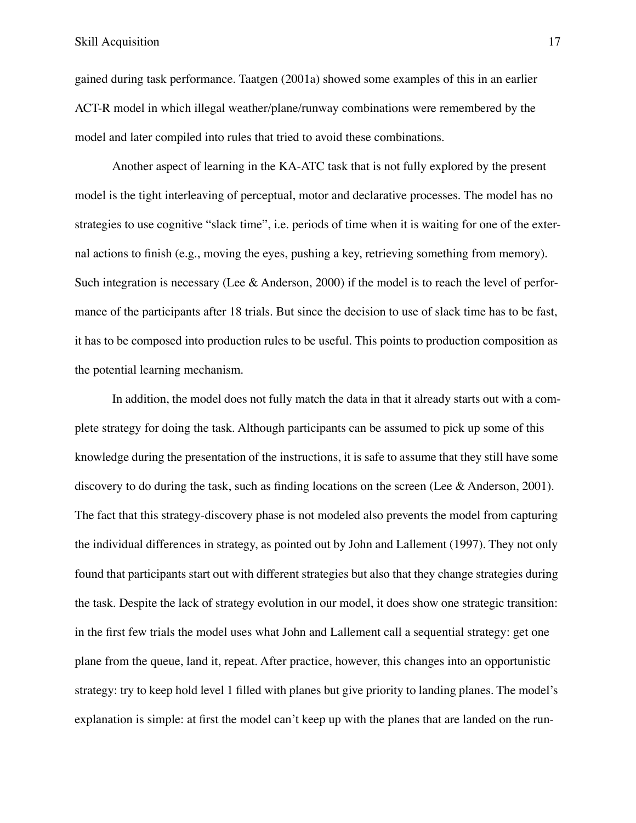gained during task performance. Taatgen (2001a) showed some examples of this in an earlier ACT-R model in which illegal weather/plane/runway combinations were remembered by the model and later compiled into rules that tried to avoid these combinations.

Another aspect of learning in the KA-ATC task that is not fully explored by the present model is the tight interleaving of perceptual, motor and declarative processes. The model has no strategies to use cognitive "slack time", i.e. periods of time when it is waiting for one of the external actions to finish (e.g., moving the eyes, pushing a key, retrieving something from memory). Such integration is necessary (Lee & Anderson, 2000) if the model is to reach the level of performance of the participants after 18 trials. But since the decision to use of slack time has to be fast, it has to be composed into production rules to be useful. This points to production composition as the potential learning mechanism.

In addition, the model does not fully match the data in that it already starts out with a complete strategy for doing the task. Although participants can be assumed to pick up some of this knowledge during the presentation of the instructions, it is safe to assume that they still have some discovery to do during the task, such as finding locations on the screen (Lee & Anderson, 2001). The fact that this strategy-discovery phase is not modeled also prevents the model from capturing the individual differences in strategy, as pointed out by John and Lallement (1997). They not only found that participants start out with different strategies but also that they change strategies during the task. Despite the lack of strategy evolution in our model, it does show one strategic transition: in the first few trials the model uses what John and Lallement call a sequential strategy: get one plane from the queue, land it, repeat. After practice, however, this changes into an opportunistic strategy: try to keep hold level 1 filled with planes but give priority to landing planes. The model's explanation is simple: at first the model can't keep up with the planes that are landed on the run-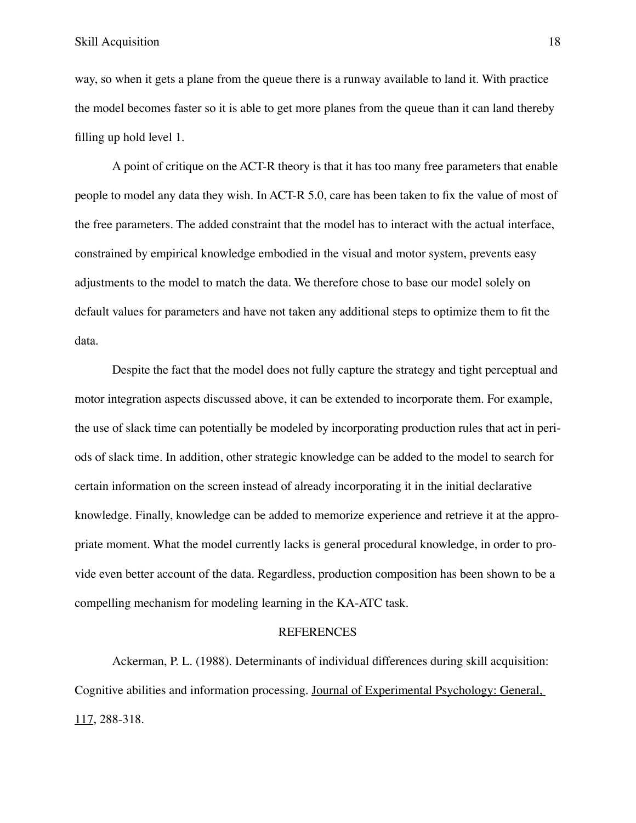way, so when it gets a plane from the queue there is a runway available to land it. With practice the model becomes faster so it is able to get more planes from the queue than it can land thereby filling up hold level 1.

A point of critique on the ACT-R theory is that it has too many free parameters that enable people to model any data they wish. In ACT-R 5.0, care has been taken to fix the value of most of the free parameters. The added constraint that the model has to interact with the actual interface, constrained by empirical knowledge embodied in the visual and motor system, prevents easy adjustments to the model to match the data. We therefore chose to base our model solely on default values for parameters and have not taken any additional steps to optimize them to fit the data.

Despite the fact that the model does not fully capture the strategy and tight perceptual and motor integration aspects discussed above, it can be extended to incorporate them. For example, the use of slack time can potentially be modeled by incorporating production rules that act in periods of slack time. In addition, other strategic knowledge can be added to the model to search for certain information on the screen instead of already incorporating it in the initial declarative knowledge. Finally, knowledge can be added to memorize experience and retrieve it at the appropriate moment. What the model currently lacks is general procedural knowledge, in order to provide even better account of the data. Regardless, production composition has been shown to be a compelling mechanism for modeling learning in the KA-ATC task.

#### REFERENCES

Ackerman, P. L. (1988). Determinants of individual differences during skill acquisition: Cognitive abilities and information processing. Journal of Experimental Psychology: General, 117, 288-318.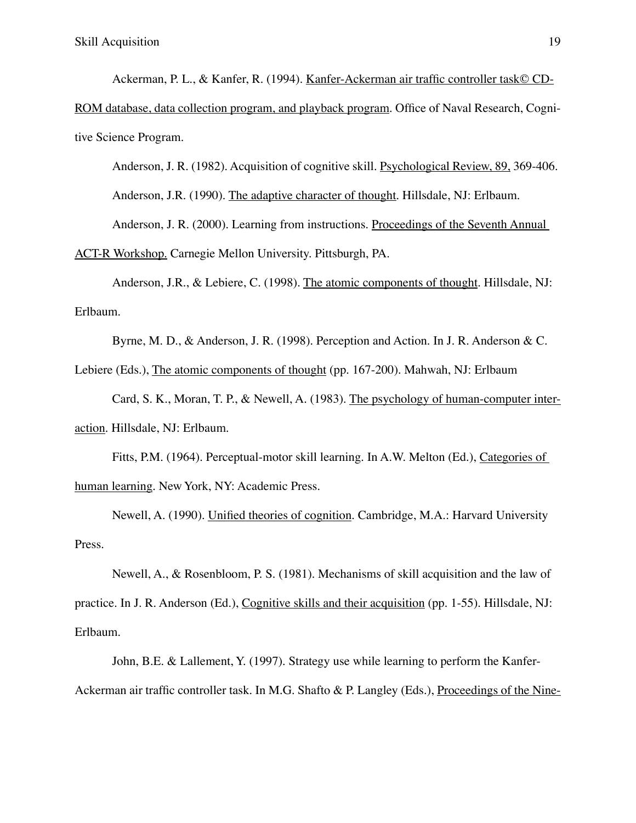Ackerman, P. L., & Kanfer, R. (1994). Kanfer-Ackerman air traffic controller task© CD-ROM database, data collection program, and playback program. Office of Naval Research, Cognitive Science Program.

Anderson, J. R. (1982). Acquisition of cognitive skill. Psychological Review, 89, 369-406.

Anderson, J.R. (1990). The adaptive character of thought. Hillsdale, NJ: Erlbaum.

Anderson, J. R. (2000). Learning from instructions. Proceedings of the Seventh Annual

ACT-R Workshop. Carnegie Mellon University. Pittsburgh, PA.

Anderson, J.R., & Lebiere, C. (1998). The atomic components of thought. Hillsdale, NJ: Erlbaum.

Byrne, M. D., & Anderson, J. R. (1998). Perception and Action. In J. R. Anderson & C.

Lebiere (Eds.), The atomic components of thought (pp. 167-200). Mahwah, NJ: Erlbaum

Card, S. K., Moran, T. P., & Newell, A. (1983). The psychology of human-computer interaction. Hillsdale, NJ: Erlbaum.

Fitts, P.M. (1964). Perceptual-motor skill learning. In A.W. Melton (Ed.), Categories of human learning. New York, NY: Academic Press.

Newell, A. (1990). Unified theories of cognition. Cambridge, M.A.: Harvard University Press.

Newell, A., & Rosenbloom, P. S. (1981). Mechanisms of skill acquisition and the law of practice. In J. R. Anderson (Ed.), Cognitive skills and their acquisition (pp. 1-55). Hillsdale, NJ: Erlbaum.

John, B.E. & Lallement, Y. (1997). Strategy use while learning to perform the Kanfer-Ackerman air traffic controller task. In M.G. Shafto & P. Langley (Eds.), Proceedings of the Nine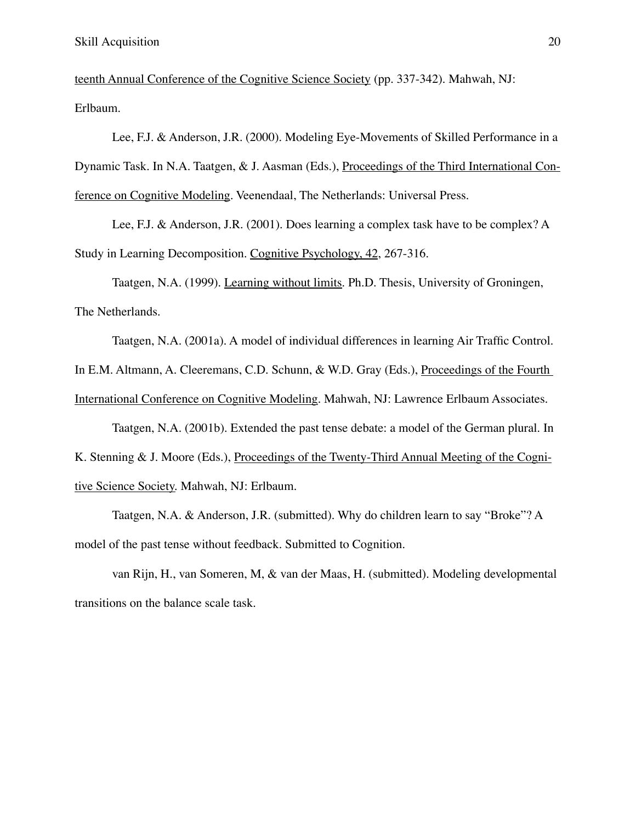teenth Annual Conference of the Cognitive Science Society (pp. 337-342). Mahwah, NJ: Erlbaum.

Lee, F.J. & Anderson, J.R. (2000). Modeling Eye-Movements of Skilled Performance in a Dynamic Task. In N.A. Taatgen, & J. Aasman (Eds.), Proceedings of the Third International Conference on Cognitive Modeling. Veenendaal, The Netherlands: Universal Press.

Lee, F.J. & Anderson, J.R. (2001). Does learning a complex task have to be complex? A Study in Learning Decomposition. Cognitive Psychology, 42, 267-316.

Taatgen, N.A. (1999). Learning without limits. Ph.D. Thesis, University of Groningen, The Netherlands.

Taatgen, N.A. (2001a). A model of individual differences in learning Air Traffic Control.

In E.M. Altmann, A. Cleeremans, C.D. Schunn, & W.D. Gray (Eds.), Proceedings of the Fourth

International Conference on Cognitive Modeling. Mahwah, NJ: Lawrence Erlbaum Associates.

Taatgen, N.A. (2001b). Extended the past tense debate: a model of the German plural. In

K. Stenning & J. Moore (Eds.), Proceedings of the Twenty-Third Annual Meeting of the Cognitive Science Society. Mahwah, NJ: Erlbaum.

Taatgen, N.A. & Anderson, J.R. (submitted). Why do children learn to say "Broke"? A model of the past tense without feedback. Submitted to Cognition.

van Rijn, H., van Someren, M, & van der Maas, H. (submitted). Modeling developmental transitions on the balance scale task.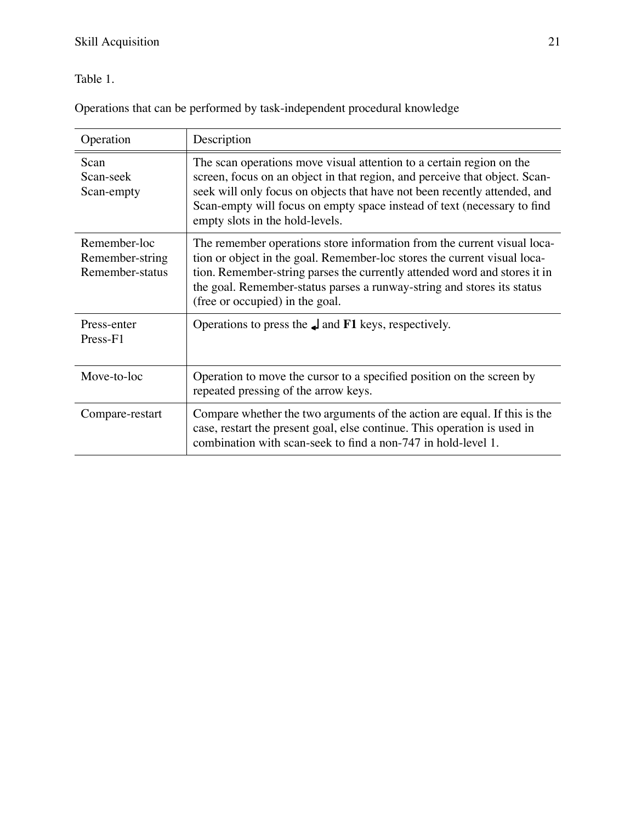Table 1.

Operations that can be performed by task-independent procedural knowledge

| Operation                                          | Description                                                                                                                                                                                                                                                                                                                                   |
|----------------------------------------------------|-----------------------------------------------------------------------------------------------------------------------------------------------------------------------------------------------------------------------------------------------------------------------------------------------------------------------------------------------|
| Scan<br>Scan-seek<br>Scan-empty                    | The scan operations move visual attention to a certain region on the<br>screen, focus on an object in that region, and perceive that object. Scan-<br>seek will only focus on objects that have not been recently attended, and<br>Scan-empty will focus on empty space instead of text (necessary to find<br>empty slots in the hold-levels. |
| Remember-loc<br>Remember-string<br>Remember-status | The remember operations store information from the current visual loca-<br>tion or object in the goal. Remember-loc stores the current visual loca-<br>tion. Remember-string parses the currently attended word and stores it in<br>the goal. Remember-status parses a runway-string and stores its status<br>(free or occupied) in the goal. |
| Press-enter<br>$Press-F1$                          | Operations to press the $\Box$ and <b>F1</b> keys, respectively.                                                                                                                                                                                                                                                                              |
| Move-to-loc                                        | Operation to move the cursor to a specified position on the screen by<br>repeated pressing of the arrow keys.                                                                                                                                                                                                                                 |
| Compare-restart                                    | Compare whether the two arguments of the action are equal. If this is the<br>case, restart the present goal, else continue. This operation is used in<br>combination with scan-seek to find a non-747 in hold-level 1.                                                                                                                        |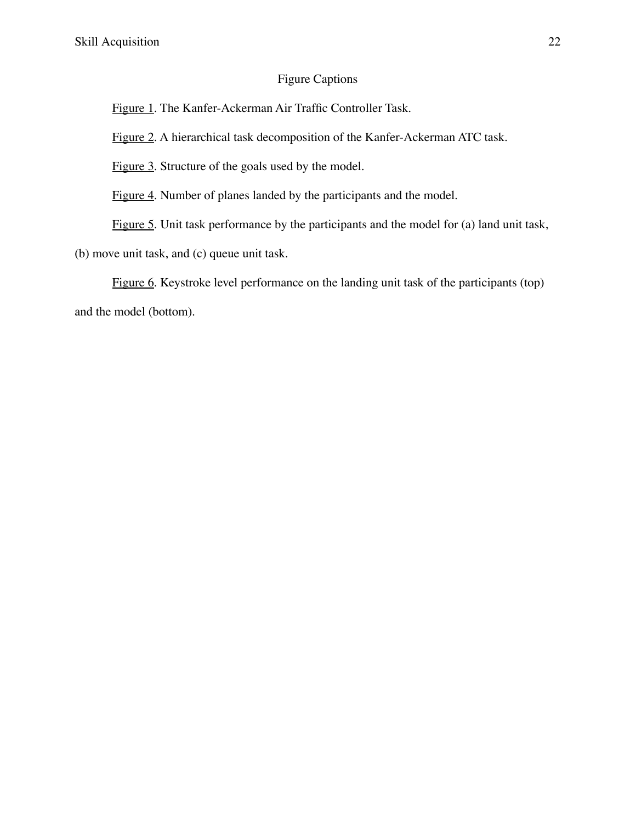### Figure Captions

Figure 1. The Kanfer-Ackerman Air Traffic Controller Task.

Figure 2. A hierarchical task decomposition of the Kanfer-Ackerman ATC task.

Figure 3. Structure of the goals used by the model.

Figure 4. Number of planes landed by the participants and the model.

Figure 5. Unit task performance by the participants and the model for (a) land unit task,

(b) move unit task, and (c) queue unit task.

Figure 6. Keystroke level performance on the landing unit task of the participants (top) and the model (bottom).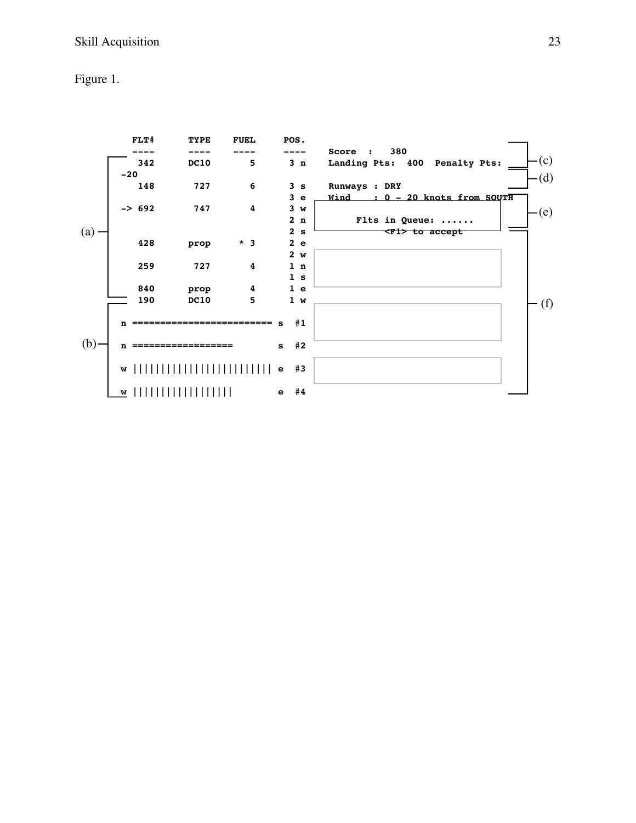Figure 1.

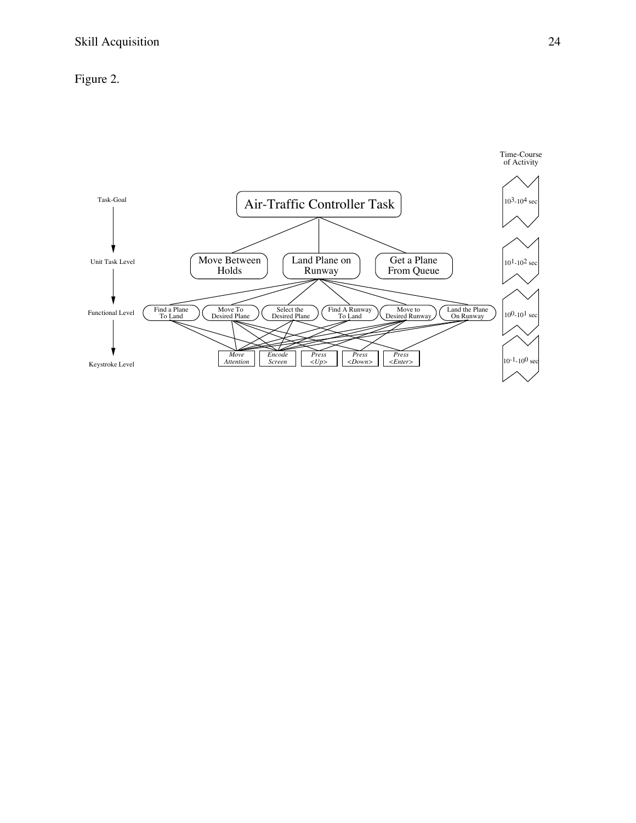## Figure 2.

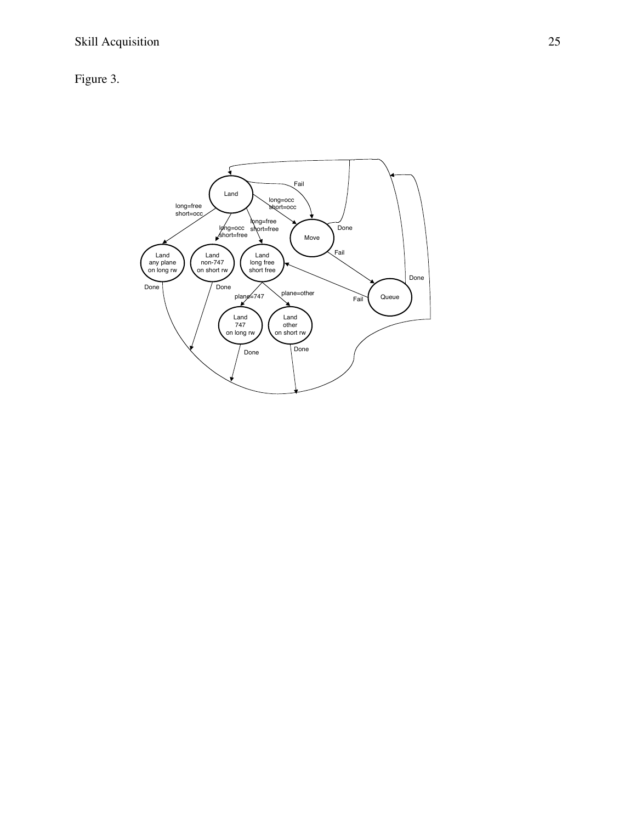## Figure 3.

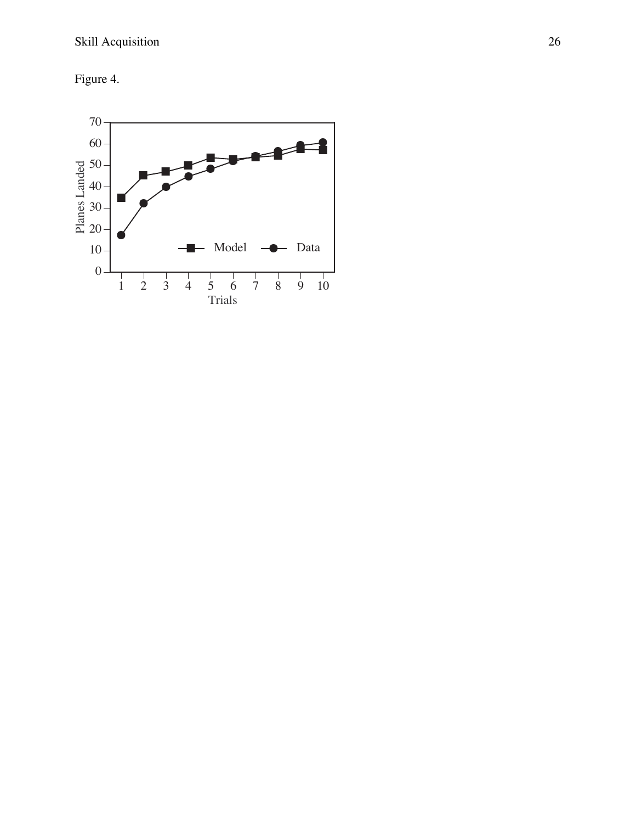Figure 4.

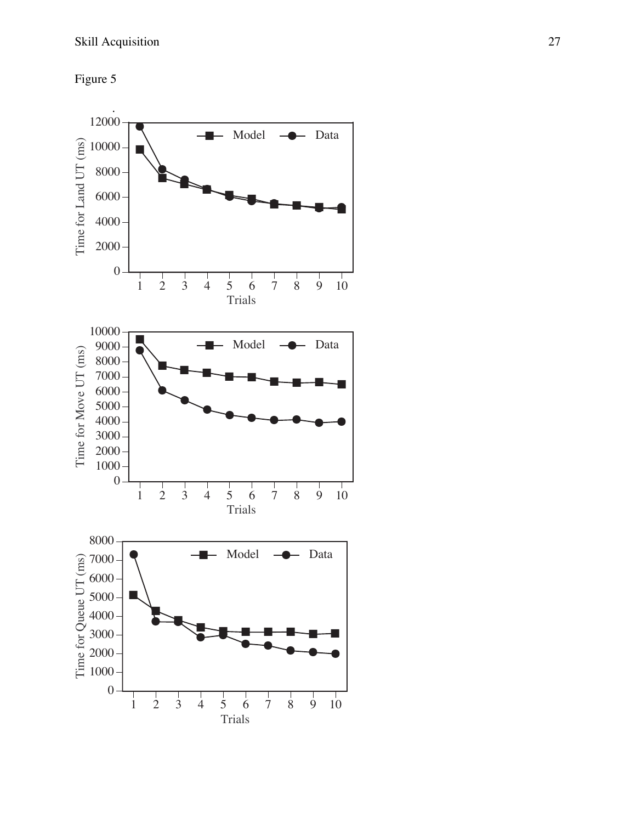Figure 5

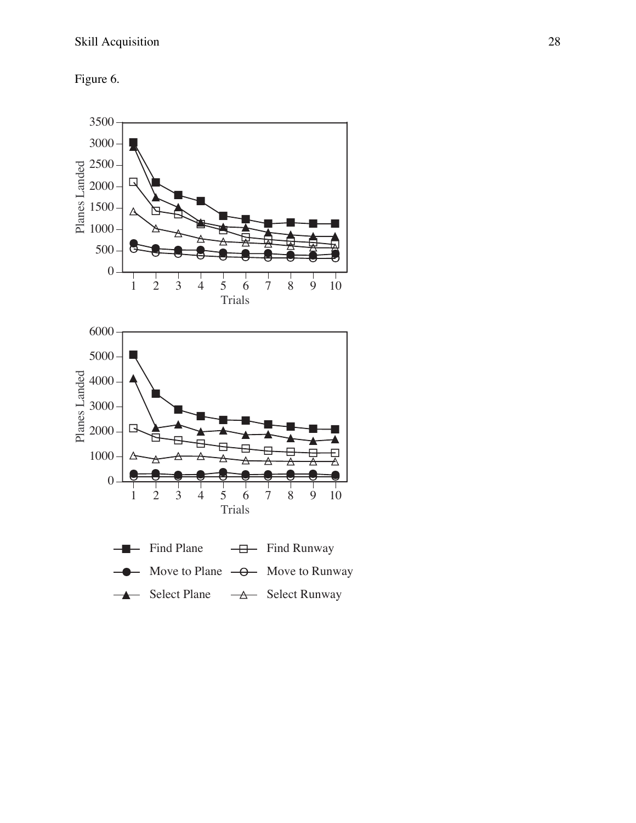Figure 6.